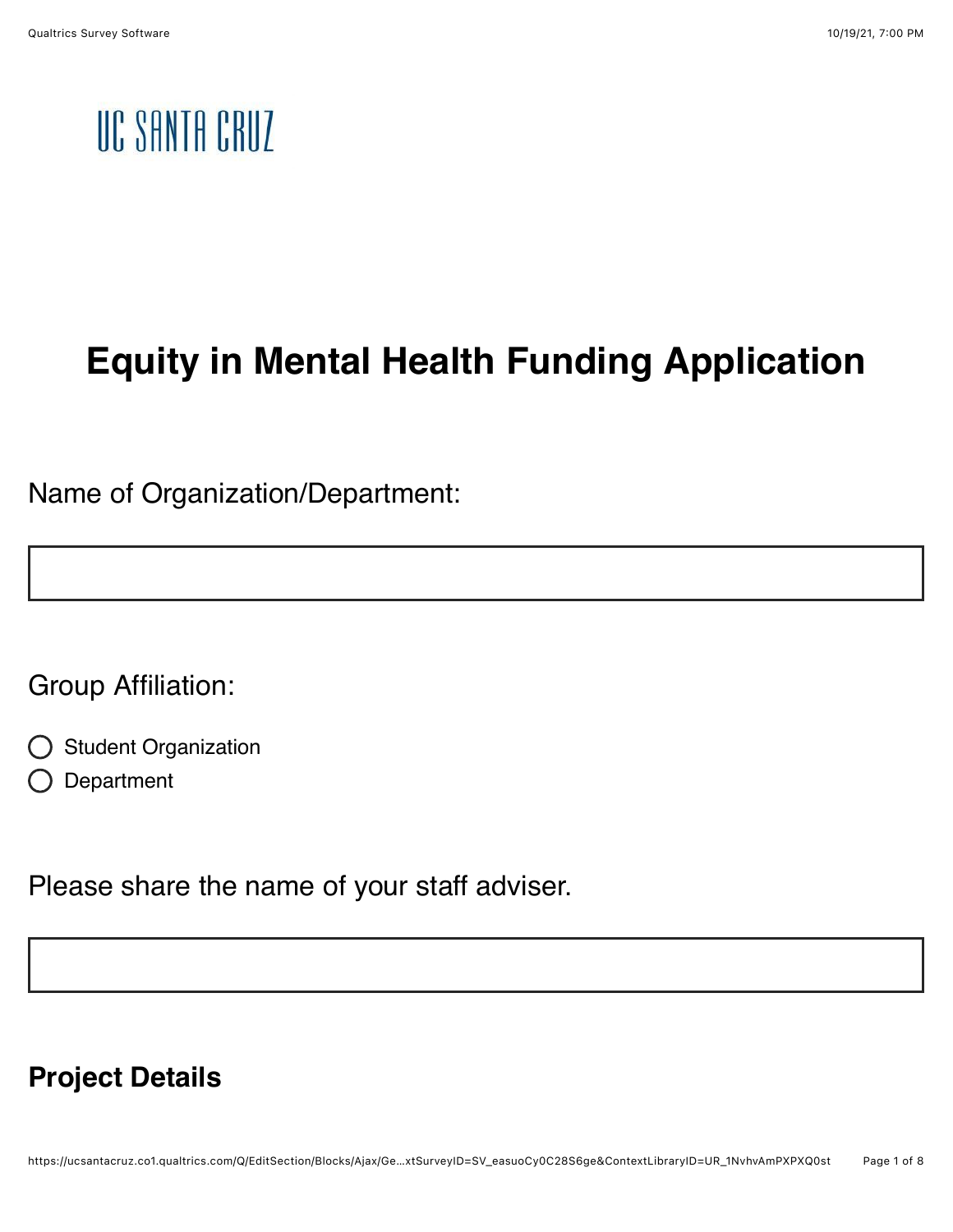# UC SANTA CRUZ

# **Equity in Mental Health Funding Application**

Name of Organization/Department:

Group Affiliation:

- Student Organization
- Department

Please share the name of your staff adviser.

#### **Project Details**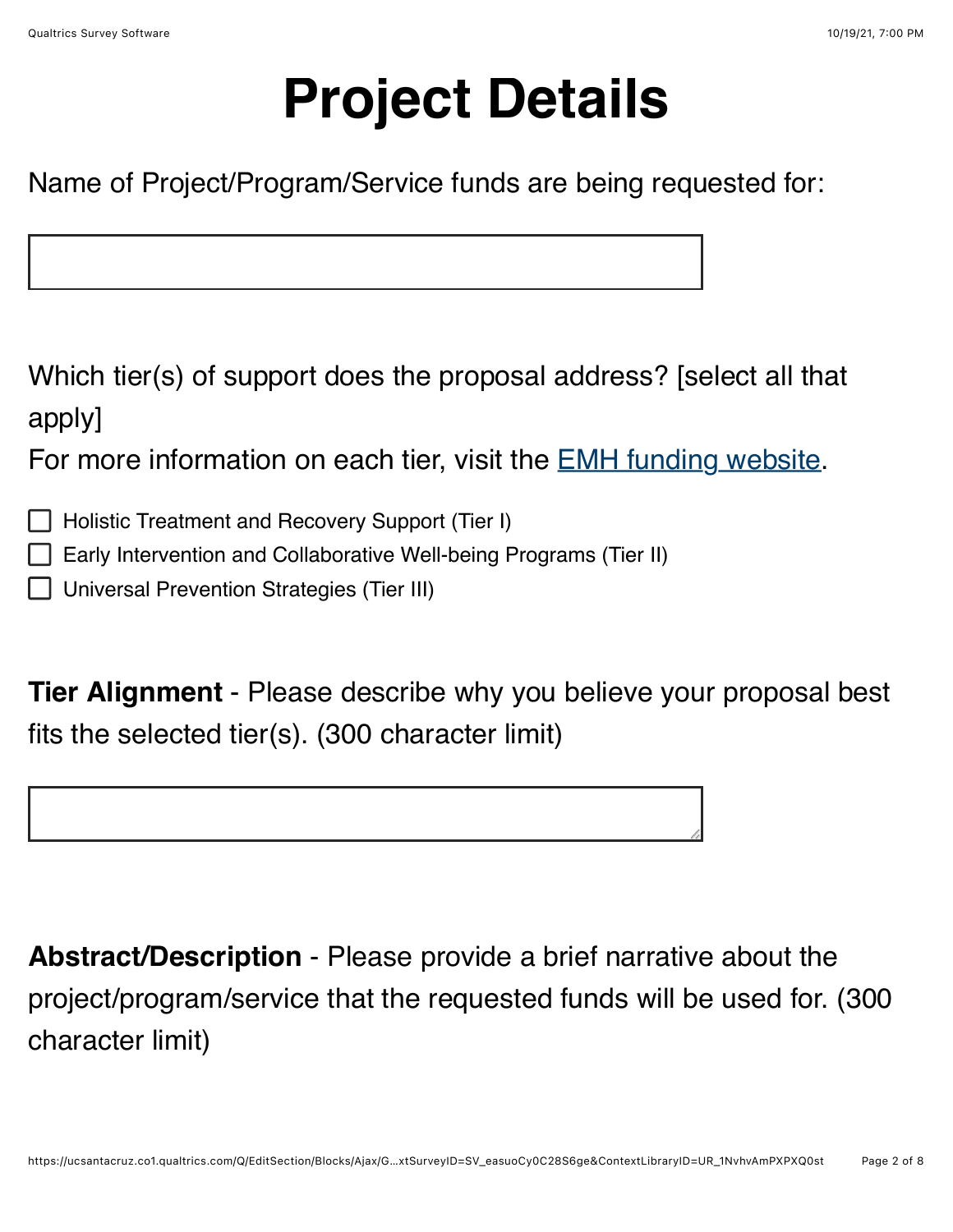# **Project Details**

Name of Project/Program/Service funds are being requested for:

Which tier(s) of support does the proposal address? [select all that apply]

For more information on each tier, visit the [EMH funding website.](https://studentsuccess.ucsc.edu/what-we-do/equity-in-mental-health-funding/index.html)

Holistic Treatment and Recovery Support (Tier I)

Early Intervention and Collaborative Well-being Programs (Tier II)

Universal Prevention Strategies (Tier III)

**Tier Alignment** - Please describe why you believe your proposal best fits the selected tier(s). (300 character limit)

**Abstract/Description** - Please provide a brief narrative about the project/program/service that the requested funds will be used for. (300 character limit)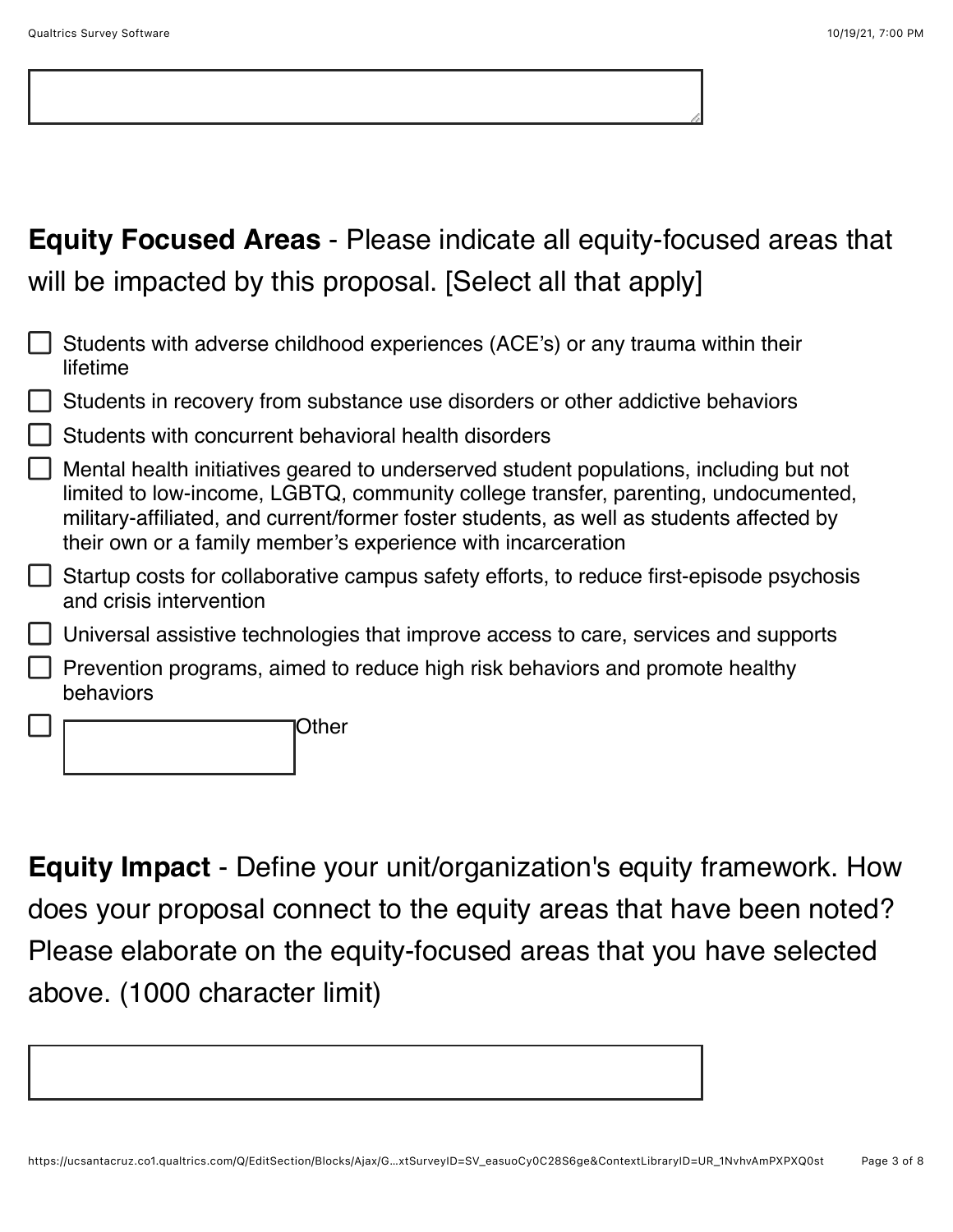## **Equity Focused Areas** - Please indicate all equity-focused areas that will be impacted by this proposal. [Select all that apply]

| Students with adverse childhood experiences (ACE's) or any trauma within their<br>lifetime                                                                                                                                                                                                                                               |  |  |
|------------------------------------------------------------------------------------------------------------------------------------------------------------------------------------------------------------------------------------------------------------------------------------------------------------------------------------------|--|--|
| Students in recovery from substance use disorders or other addictive behaviors                                                                                                                                                                                                                                                           |  |  |
| Students with concurrent behavioral health disorders                                                                                                                                                                                                                                                                                     |  |  |
| Mental health initiatives geared to underserved student populations, including but not<br>limited to low-income, LGBTQ, community college transfer, parenting, undocumented,<br>military-affiliated, and current/former foster students, as well as students affected by<br>their own or a family member's experience with incarceration |  |  |
| Startup costs for collaborative campus safety efforts, to reduce first-episode psychosis<br>and crisis intervention                                                                                                                                                                                                                      |  |  |
| Universal assistive technologies that improve access to care, services and supports                                                                                                                                                                                                                                                      |  |  |
| Prevention programs, aimed to reduce high risk behaviors and promote healthy<br>behaviors                                                                                                                                                                                                                                                |  |  |
| Other                                                                                                                                                                                                                                                                                                                                    |  |  |

**Equity Impact** - Define your unit/organization's equity framework. How does your proposal connect to the equity areas that have been noted? Please elaborate on the equity-focused areas that you have selected above. (1000 character limit)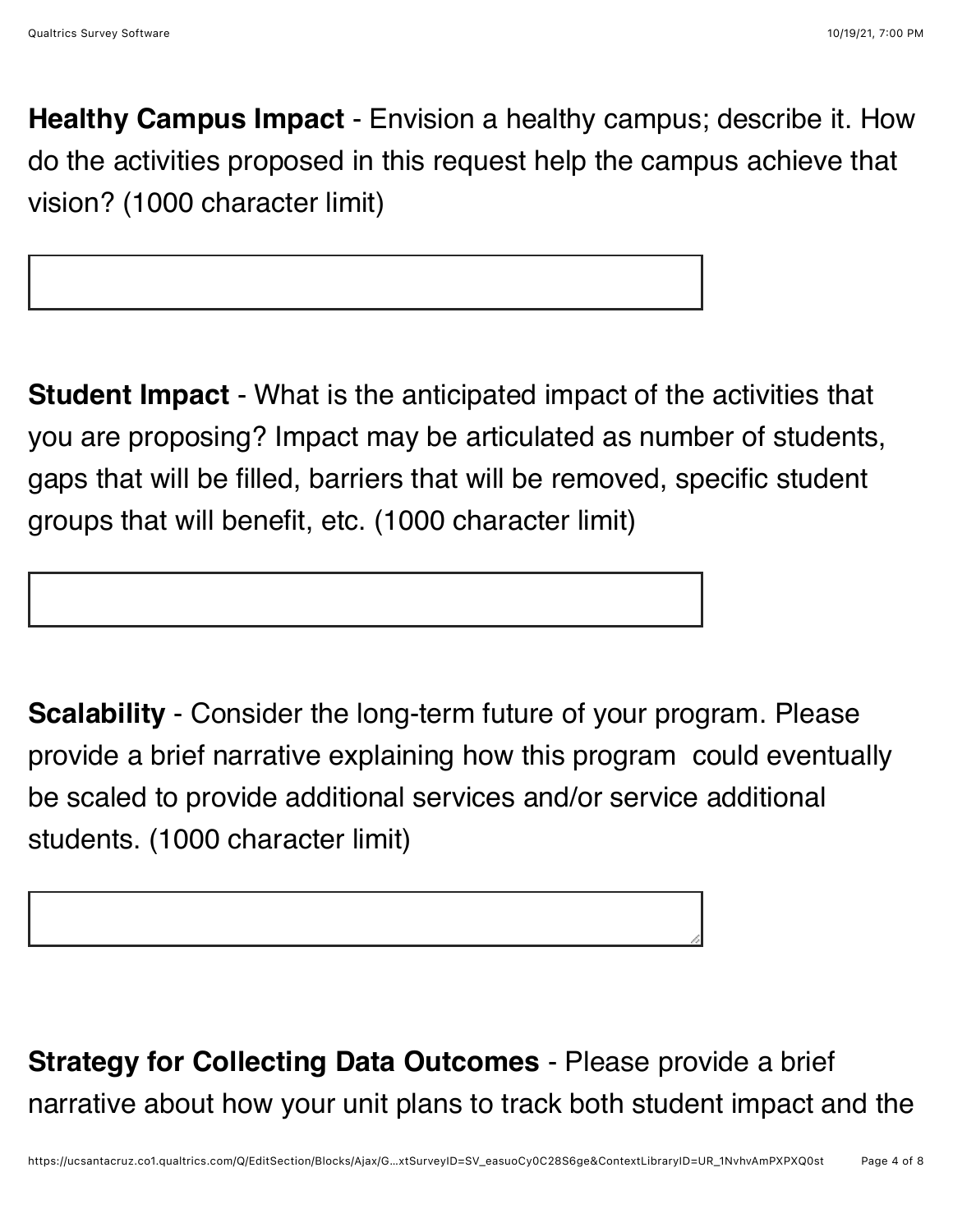**Healthy Campus Impact** - Envision a healthy campus; describe it. How do the activities proposed in this request help the campus achieve that vision? (1000 character limit)

**Student Impact** - What is the anticipated impact of the activities that you are proposing? Impact may be articulated as number of students, gaps that will be filled, barriers that will be removed, specific student groups that will benefit, etc. (1000 character limit)

**Scalability** - Consider the long-term future of your program. Please provide a brief narrative explaining how this program could eventually be scaled to provide additional services and/or service additional students. (1000 character limit)

**Strategy for Collecting Data Outcomes** - Please provide a brief narrative about how your unit plans to track both student impact and the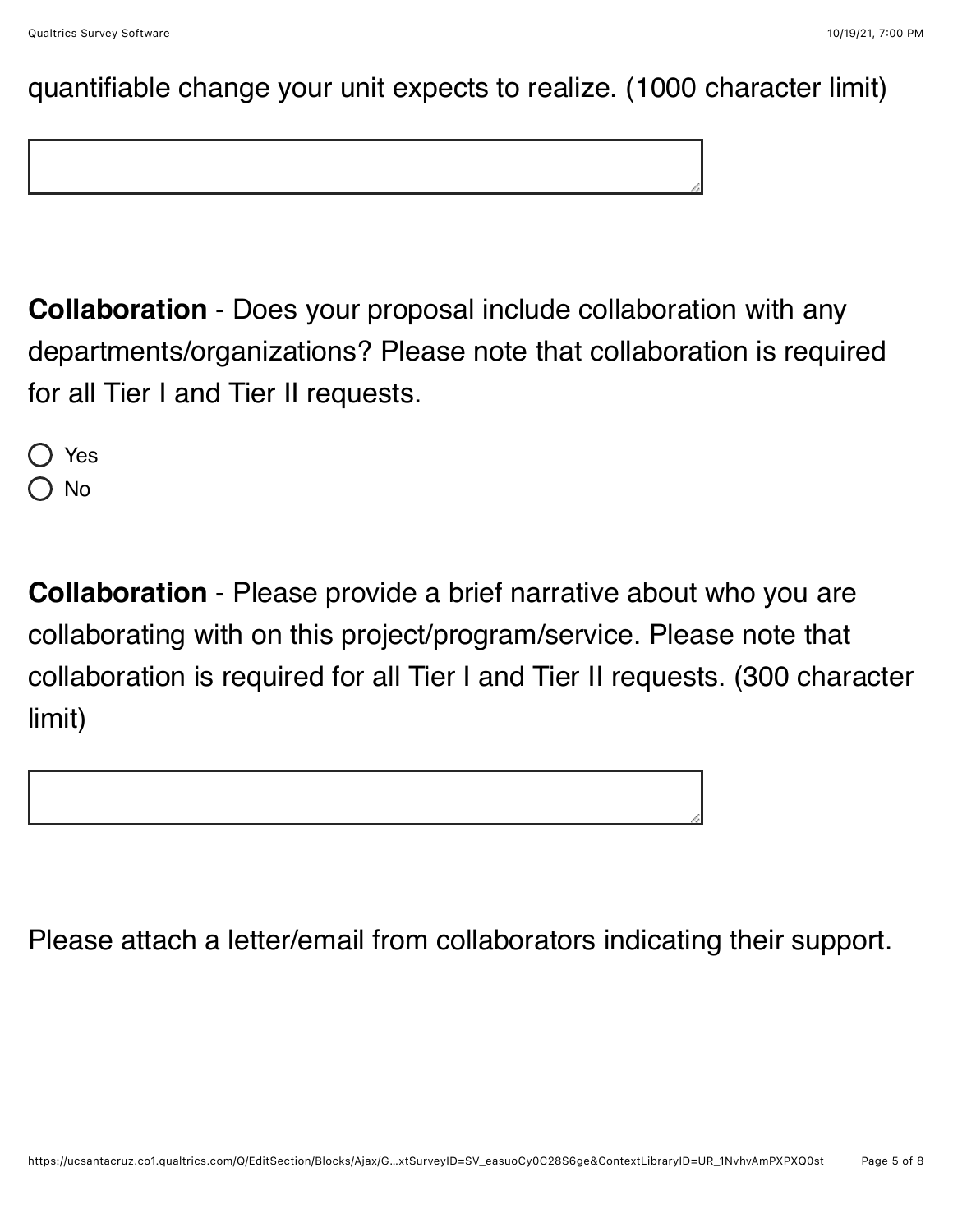#### quantifiable change your unit expects to realize. (1000 character limit)

**Collaboration** - Does your proposal include collaboration with any departments/organizations? Please note that collaboration is required for all Tier I and Tier II requests.

Yes No

**Collaboration** - Please provide a brief narrative about who you are collaborating with on this project/program/service. Please note that collaboration is required for all Tier I and Tier II requests. (300 character limit)



Please attach a letter/email from collaborators indicating their support.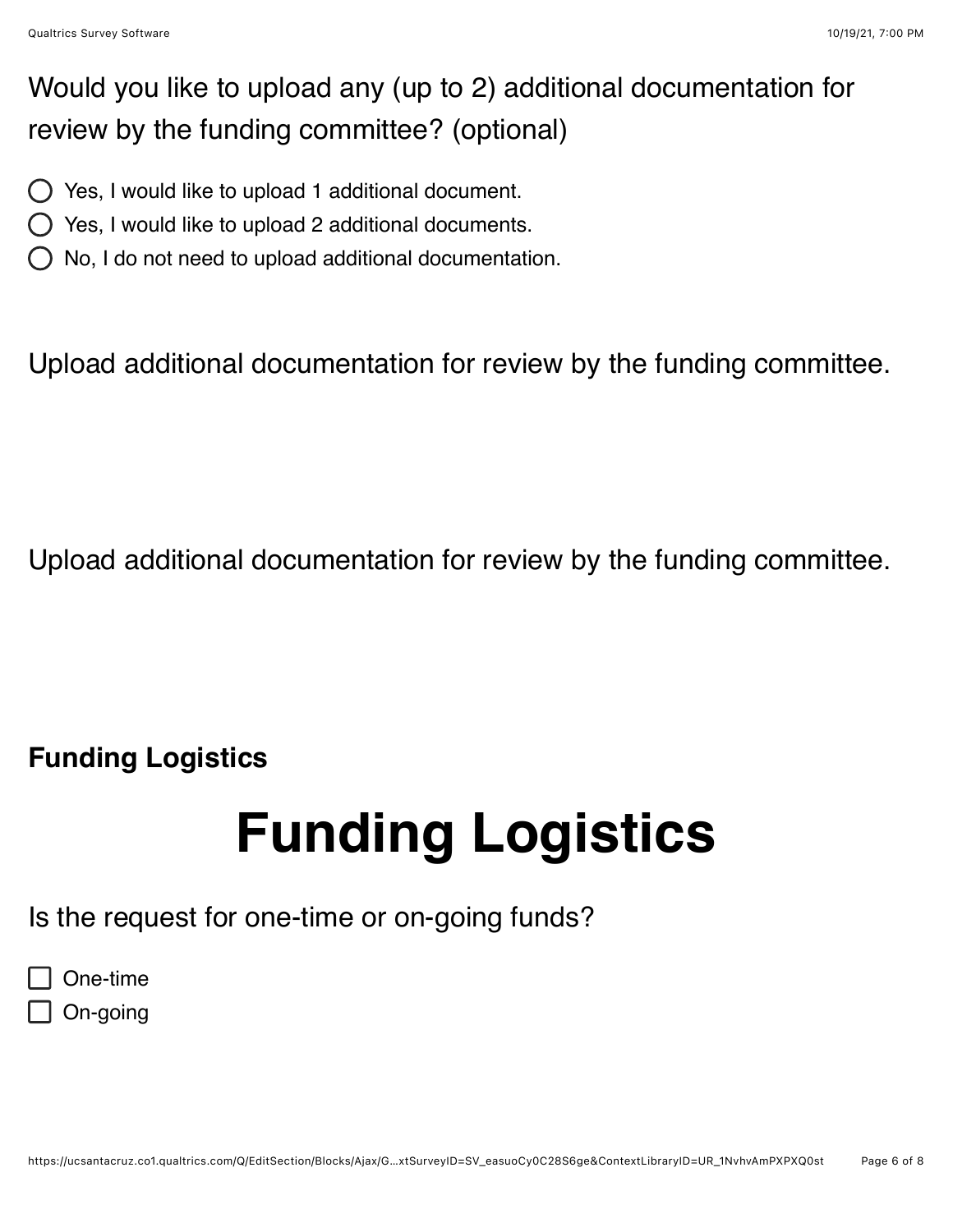### Would you like to upload any (up to 2) additional documentation for review by the funding committee? (optional)

- $\bigcirc$  Yes, I would like to upload 1 additional document.
- Yes, I would like to upload 2 additional documents.
- No, I do not need to upload additional documentation.

Upload additional documentation for review by the funding committee.

Upload additional documentation for review by the funding committee.

## **Funding Logistics**

# **Funding Logistics**

Is the request for one-time or on-going funds?

| One-time |  |
|----------|--|
|          |  |

 $\Box$  On-going